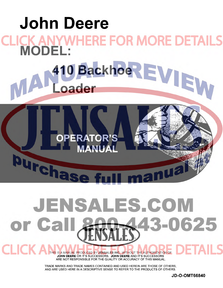

# **JENSALES.COM** 0625 or Ca

THIS IS A MANUAL PRODUCED BY JENSALES INC. WITHOUT THE AUTHORIZATION OF JOHN DEERE OR IT'S SUCCESSORS. JOHN DEERE AND IT'S SUCCESSORS ARE NOT RESPONSIBLE FOR THE QUALITY OR ACCURACY OF THIS MANUAL.

TRADE MARKS AND TRADE NAMES CONTAINED AND USED HEREIN ARE THOSE OF OTHERS, AND ARE USED HERE IN A DESCRIPTIVE SENSE TO REFER TO THE PRODUCTS OF OTHERS.

**JD-O-OMT66840**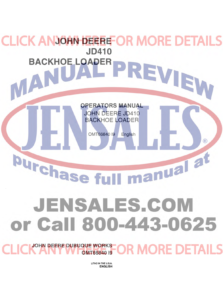**CK ANJOHN DEERE OR MORE DETAILS** JD410<br>**APER PREVIEW** [BACKHOE LOADER](http://www.jensales.com/products/john-deere-410-industrial-tractor-operators-manual.html)  **OPERATORS MANUAL**  JOHN DEERE JD410 BACKHOE LOADER OMT66840 19 English  $(\widehat{\mathbb{R}})$ manual at burchase fu JENSALES.COM or Call 800-443-0625

**JOHN DEERE DUBUQUE WORKS MORE DETAILS OMT66840 19** 

> LITHO IN THE U.S.A. ENGLISH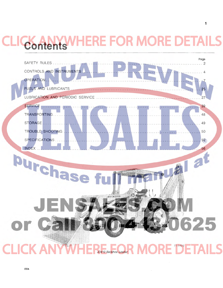## **RE FOR MORE** Contents

 $\mathbf{1}$ 

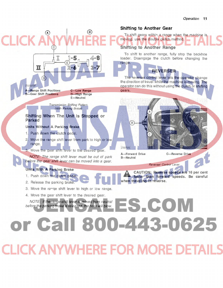

**CLICK ANYWHERE FOR MORE DET**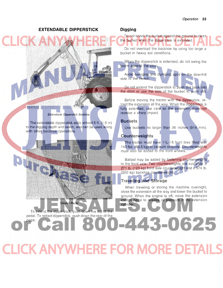#### **EXTENDABLE DIPPERSTICK**



Extendable Oipperstick Backhoe

The extendable dipperstick adds almost 5 ft. (1.5 m) to the digging depth and reach, and can be used along with other backhoe operations.

Control Pedal

To extend the dipperstick, push down the top of the pedal. To retract dipperstick, push down the rear of the

pedal.

#### **Digging**

Do not knock the bucket against the ground to clean the bucket when the dipperstick is extended.

Do not overload the backhoe by using too large a bucket in heavy soil conditions.

When the dipperstick is extended, do not swing the boom against the stop.

Avoid swinging and dumping spoil on the downhill side of the trench.

Do not extend the dipperstick to push dirt back into the ditch or use the side of the bucket to push dirt.

Before moving the tractor with the dipperstick, retract the extension all the way. When the dipperstick is fully extended, use care so the extension does not receive a sharp impact.

#### **Buckets**

Use buckets no larger than 36 inches (914 mm).

#### **Counterweights**

The tractor must have 11L-15 front tires filled with 140 Ibs. (63.5 kg) of calcium chloride. Counterweights must also be added to the front wheels.

Ballast may be added by fastening counterweights to the front axle. Two counterweights are available: a 271 lb. (123 kg) front axle counterweight and a 574 lb. (260 kg) backhoe counterweight.

### **Traveling and Storage**

When traveling or storing the machine overnight, close the extension all the way and lower the bucket to ground. When the engine is off, move the extension control pedal to release oil pressure in the extension cylinder.

-443-0625

**CLICK ANYWHERE FOR MORE DETAILS**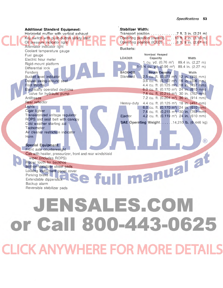| <b>Additional Standard Equipment:</b>                   | Stabilizer Width:                                                                                          |
|---------------------------------------------------------|------------------------------------------------------------------------------------------------------------|
| Horizontal muffler with vertical exhaust                | Transport position 7 ft. 3 in. $(2.21 \text{ m})$                                                          |
| Key switch with push-button safety start                | Operating position (overall). 10 ft. 2 in. (3.10 m)                                                        |
| Oil pressure indicator light                            | Operating position (ICED) 8 ft. 9 in. (2.67 m)                                                             |
| Alternator indicator light<br>Coolant temperature gauge | <b>Buckets:</b>                                                                                            |
| Fuel gauge                                              | Nominal Heaped<br><b>LOADER</b><br>Width<br>Capacity                                                       |
| Electric hour meter                                     | 1 cu. yd. $(0.76 \text{ m}^3)$ 89.4 in. $(2.27 \text{ m})$                                                 |
| Rigid-mount platform                                    | 1-1/4 cu. yd. $(0.96 \text{ m}^3)$ 89.4 in. $(2.27 \text{ m})$                                             |
| Differential lock                                       |                                                                                                            |
| Fenders                                                 | <b>BACKHOE</b><br><b>Struck Capacity</b><br>Width                                                          |
| Bucket level indicator                                  | Standard<br>2.5 cu. ft. (0.071 m <sup>3</sup> ) 12 in. (305 mm)                                            |
| Deluxe swing-around seat<br>Foot throttle               | 3.6 cu. ft. (0.102 m <sup>3</sup> ) 16 in. (406 mm)<br>4.4 cu. ft. (0.125 m <sup>3</sup> ) 18 in. (457 mm) |
| Electrically operated destroke                          | 6.0 cu. ft. $(0.170 \text{ m}^3)$ 24 in. $(610 \text{ mm})$                                                |
| valve for hydraulic pump                                | 7.6 cu. ft. $(0.215 \text{ m}^3)$ 30 in. (762 mm)                                                          |
| Antifreeze                                              | 7.2 cu. ft. (0.204 m <sup>3</sup> ) 36 in. (914 mm)                                                        |
| Rear reflector                                          | 4.4 cu. ft. (0.125 m <sup>3</sup> ) 18 in. (457 mm)<br>Heavy-duty                                          |
| Lights                                                  | 6.0 cu. ft. (0.170 m <sup>3</sup> ) 24 in. (610 mm)                                                        |
| Cigar lighter                                           | 7.6 cu. ft. (0.215 m <sup>3</sup> ) 30 in. (762 mm)                                                        |
| Transistorized voltage regulator                        | 4.2 cu. ft. (0.119 m <sup>3</sup> ) 24 in. (610 mm)<br>Ejector                                             |
| ROPS and seat belt with canopy                          |                                                                                                            |
| Cold weather starting aid                               | <b>SAE Operating Weight14,210 lb. (6 446 kg)</b>                                                           |
| <b>Tachometer</b>                                       |                                                                                                            |
| Air cleaner restriction indicator                       |                                                                                                            |
| Horn                                                    |                                                                                                            |
|                                                         | $\circledR$                                                                                                |
| <b>Special Equipment:</b><br>Front axle counterweight   |                                                                                                            |
| Cab with heater, pressurizer, front and rear windshield |                                                                                                            |
| wiper (includes ROPS)                                   |                                                                                                            |
| Ripper tooth for backhoe                                |                                                                                                            |
| Bolt-on stabilizer street pads                          | manual al                                                                                                  |
| Locking instrument panel cover                          |                                                                                                            |
| Parking brake                                           |                                                                                                            |
| Extendable dipperstick                                  |                                                                                                            |
| Backup alarm                                            |                                                                                                            |
| Reversible stabilizer pads                              |                                                                                                            |
|                                                         |                                                                                                            |
|                                                         |                                                                                                            |
| JENSALES.COM                                            |                                                                                                            |
|                                                         |                                                                                                            |
|                                                         |                                                                                                            |
|                                                         |                                                                                                            |
|                                                         | or Call 800-443-0625                                                                                       |
|                                                         |                                                                                                            |
|                                                         |                                                                                                            |
|                                                         |                                                                                                            |
|                                                         |                                                                                                            |
|                                                         |                                                                                                            |
|                                                         | <b>CLICK ANYWHERE FOR MORE DETAILS</b>                                                                     |
|                                                         |                                                                                                            |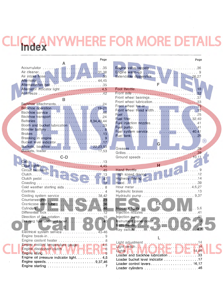## **HERE FOR MORE DETA Index**

|                                               | Page      |
|-----------------------------------------------|-----------|
| А                                             |           |
|                                               |           |
|                                               |           |
|                                               |           |
|                                               |           |
| Alternator indicator light 4,5                |           |
|                                               |           |
|                                               |           |
| R                                             |           |
|                                               |           |
|                                               |           |
|                                               |           |
|                                               |           |
|                                               |           |
| Boom and bucket lubrication 33                |           |
|                                               |           |
|                                               |           |
|                                               |           |
| Buckets, backhoe 22,23,53                     |           |
|                                               |           |
|                                               |           |
| $C-D$                                         |           |
|                                               |           |
|                                               |           |
|                                               |           |
|                                               |           |
|                                               |           |
| Cold weather starting aids 8                  |           |
|                                               |           |
| Cooling system service  38,42                 |           |
|                                               |           |
|                                               |           |
|                                               |           |
|                                               |           |
|                                               |           |
| Draining fuel sediment bowl.                  | .40       |
| Ħ                                             |           |
| Electrical system service                     | $43 - 46$ |
| Engine break-in                               | 9         |
| Engine coolant heater                         | 8         |
| Engine coolant temperature gauge 1.1. The re- | . 4.5     |
| Engine disconnect clutch VAV.                 | 8         |
| ч.                                            | g         |
| Engine oil pressure indicator light.          | . .4.5    |
|                                               |           |
|                                               |           |

|                                              | Page                              |
|----------------------------------------------|-----------------------------------|
|                                              |                                   |
|                                              |                                   |
| Extendable dipperstick 26,27                 |                                   |
|                                              |                                   |
| F                                            |                                   |
|                                              |                                   |
|                                              |                                   |
| Front wheel bearings37                       |                                   |
| Front wheel lubrication33                    |                                   |
|                                              |                                   |
|                                              |                                   |
|                                              |                                   |
|                                              |                                   |
|                                              |                                   |
| Fuel system service 40,41                    |                                   |
|                                              |                                   |
|                                              | $\left( \mathsf{R}\right)$        |
| G.                                           |                                   |
| Greases<br>and the company of the company of | $\ldots$ 26                       |
|                                              |                                   |
|                                              |                                   |
|                                              |                                   |
| н                                            | $\mathcal{L}$ . $\qquad \qquad$ 9 |
|                                              |                                   |
| Highway driving14                            |                                   |
|                                              |                                   |
|                                              |                                   |
|                                              |                                   |
|                                              |                                   |
|                                              |                                   |
| FK.                                          |                                   |
|                                              |                                   |
|                                              |                                   |
|                                              | .13                               |
|                                              |                                   |
| Key switch                                   | 4.7                               |
|                                              |                                   |
|                                              |                                   |
|                                              | .14                               |
| Light adjustment<br>Light switch             | .14                               |
| Lights N. WILL IN E. L. J.E. 14,46           |                                   |
| Loader and backhoe lubrication 33            |                                   |
| Loader bucket level indicator 17             |                                   |
| Loader control levers 16,17                  |                                   |

Loader cylinders ................................46